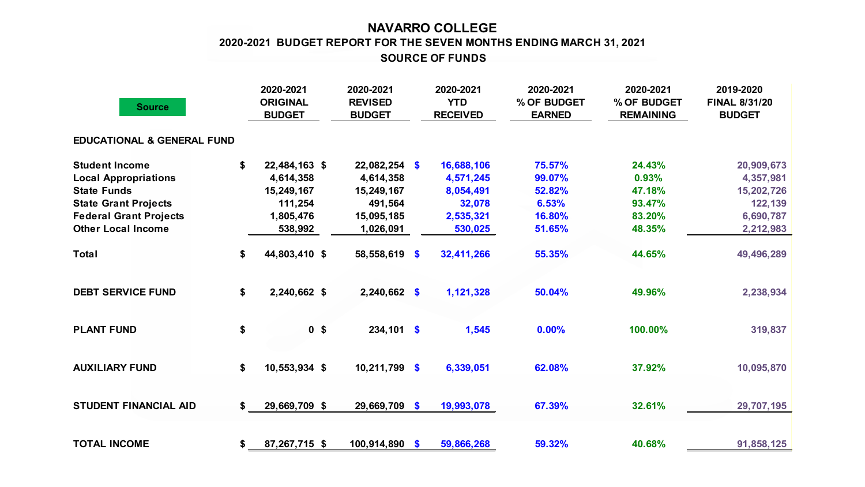## **NAVARRO COLLEGE SOURCE OF FUNDS 2020-2021 BUDGET REPORT FOR THE SEVEN MONTHS ENDING MARCH 31, 2021**

| <b>Source</b>                         |    | 2020-2021<br><b>ORIGINAL</b><br><b>BUDGET</b> | 2020-2021<br><b>REVISED</b><br><b>BUDGET</b> |              | 2020-2021<br><b>YTD</b><br><b>RECEIVED</b> | 2020-2021<br>% OF BUDGET<br><b>EARNED</b> | 2020-2021<br>% OF BUDGET<br><b>REMAINING</b> | 2019-2020<br><b>FINAL 8/31/20</b><br><b>BUDGET</b> |
|---------------------------------------|----|-----------------------------------------------|----------------------------------------------|--------------|--------------------------------------------|-------------------------------------------|----------------------------------------------|----------------------------------------------------|
| <b>EDUCATIONAL &amp; GENERAL FUND</b> |    |                                               |                                              |              |                                            |                                           |                                              |                                                    |
| <b>Student Income</b>                 |    | 22,484,163 \$                                 | $22,082,254$ \$                              |              | 16,688,106                                 | 75.57%                                    | 24.43%                                       | 20,909,673                                         |
| <b>Local Appropriations</b>           |    | 4,614,358                                     | 4,614,358                                    |              | 4,571,245                                  | 99.07%                                    | 0.93%                                        | 4,357,981                                          |
| <b>State Funds</b>                    |    | 15,249,167                                    | 15,249,167                                   |              | 8,054,491                                  | 52.82%                                    | 47.18%                                       | 15,202,726                                         |
| <b>State Grant Projects</b>           |    | 111,254                                       |                                              | 491,564      | 32,078                                     | 6.53%                                     | 93.47%                                       | 122,139                                            |
| <b>Federal Grant Projects</b>         |    | 1,805,476                                     | 15,095,185                                   |              | 2,535,321                                  | 16.80%                                    | 83.20%                                       | 6,690,787                                          |
| <b>Other Local Income</b>             |    | 538,992                                       | 1,026,091                                    |              | 530,025                                    | 51.65%                                    | 48.35%                                       | 2,212,983                                          |
| <b>Total</b>                          | \$ | 44,803,410 \$                                 | 58,558,619 \$                                |              | 32,411,266                                 | 55.35%                                    | 44.65%                                       | 49,496,289                                         |
| <b>DEBT SERVICE FUND</b>              | \$ | 2,240,662 \$                                  | 2,240,662 \$                                 |              | 1,121,328                                  | 50.04%                                    | 49.96%                                       | 2,238,934                                          |
| <b>PLANT FUND</b>                     | \$ | 0 <sup>5</sup>                                |                                              | $234,101$ \$ | 1,545                                      | 0.00%                                     | 100.00%                                      | 319,837                                            |
| <b>AUXILIARY FUND</b>                 | \$ | 10,553,934 \$                                 | $10,211,799$ \$                              |              | 6,339,051                                  | 62.08%                                    | 37.92%                                       | 10,095,870                                         |
| <b>STUDENT FINANCIAL AID</b>          | S  | 29,669,709 \$                                 | 29,669,709 \$                                |              | 19,993,078                                 | 67.39%                                    | 32.61%                                       | 29,707,195                                         |
| <b>TOTAL INCOME</b>                   | \$ | 87,267,715 \$                                 | 100,914,890 \$                               |              | 59,866,268                                 | 59.32%                                    | 40.68%                                       | 91,858,125                                         |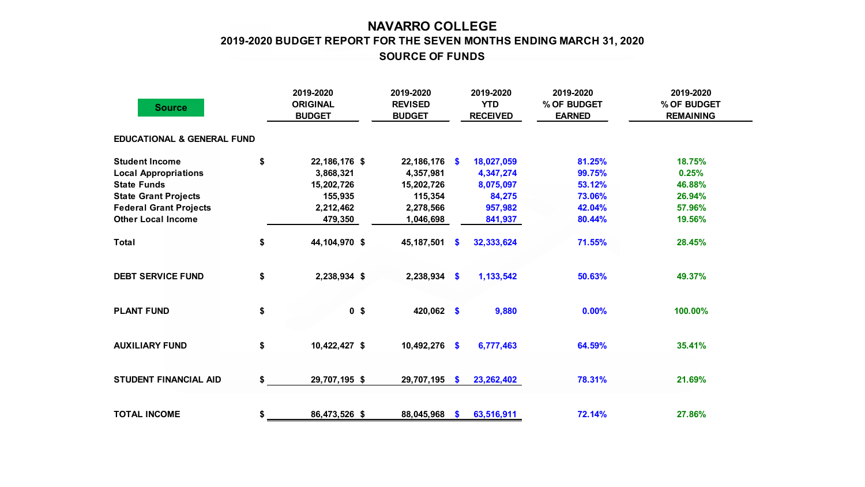## **NAVARRO COLLEGE 2019-2020 BUDGET REPORT FOR THE SEVEN MONTHS ENDING MARCH 31, 2020 SOURCE OF FUNDS**

| <b>Source</b>                         |    | 2019-2020<br><b>ORIGINAL</b><br><b>BUDGET</b> | 2019-2020<br><b>REVISED</b><br><b>BUDGET</b> |               | 2019-2020<br><b>YTD</b><br><b>RECEIVED</b> | 2019-2020<br>% OF BUDGET<br><b>EARNED</b> | 2019-2020<br>% OF BUDGET<br><b>REMAINING</b> |  |
|---------------------------------------|----|-----------------------------------------------|----------------------------------------------|---------------|--------------------------------------------|-------------------------------------------|----------------------------------------------|--|
| <b>EDUCATIONAL &amp; GENERAL FUND</b> |    |                                               |                                              |               |                                            |                                           |                                              |  |
| <b>Student Income</b>                 | \$ | 22,186,176 \$                                 | 22,186,176                                   | $\mathbf{s}$  | 18,027,059                                 | 81.25%                                    | 18.75%                                       |  |
| <b>Local Appropriations</b>           |    | 3,868,321                                     | 4,357,981                                    |               | 4,347,274                                  | 99.75%                                    | 0.25%                                        |  |
| <b>State Funds</b>                    |    | 15,202,726                                    | 15,202,726                                   |               | 8,075,097                                  | 53.12%                                    | 46.88%                                       |  |
| <b>State Grant Projects</b>           |    | 155,935                                       | 115,354                                      |               | 84,275                                     | 73.06%                                    | 26.94%                                       |  |
| <b>Federal Grant Projects</b>         |    | 2,212,462                                     | 2,278,566                                    |               | 957,982                                    | 42.04%                                    | 57.96%                                       |  |
| <b>Other Local Income</b>             |    | 479,350                                       | 1,046,698                                    |               | 841,937                                    | 80.44%                                    | 19.56%                                       |  |
| <b>Total</b>                          | \$ | 44,104,970 \$                                 | 45, 187, 501                                 | S.            | 32,333,624                                 | 71.55%                                    | 28.45%                                       |  |
| <b>DEBT SERVICE FUND</b>              | \$ | 2,238,934 \$                                  | $2,238,934$ \$                               |               | 1,133,542                                  | 50.63%                                    | 49.37%                                       |  |
| <b>PLANT FUND</b>                     | \$ | 0 <sup>5</sup>                                | 420,062 \$                                   |               | 9,880                                      | 0.00%                                     | 100.00%                                      |  |
| <b>AUXILIARY FUND</b>                 | \$ | 10,422,427 \$                                 | 10,492,276                                   | $\frac{1}{2}$ | 6,777,463                                  | 64.59%                                    | 35.41%                                       |  |
| <b>STUDENT FINANCIAL AID</b>          | \$ | 29,707,195 \$                                 | 29,707,195                                   | <b>S</b>      | 23, 262, 402                               | 78.31%                                    | 21.69%                                       |  |
| <b>TOTAL INCOME</b>                   | \$ | 86,473,526 \$                                 | 88,045,968                                   | S.            | 63,516,911                                 | 72.14%                                    | 27.86%                                       |  |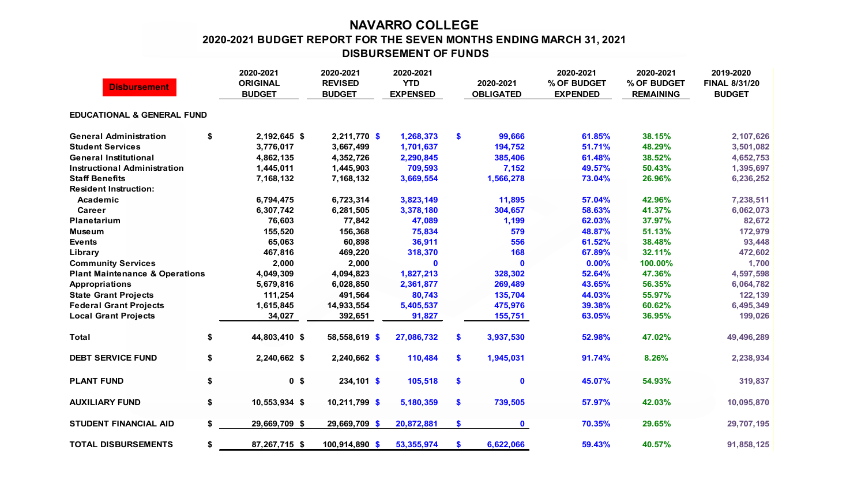## **NAVARRO COLLEGE 2020-2021 BUDGET REPORT FOR THE SEVEN MONTHS ENDING MARCH 31, 2021 DISBURSEMENT OF FUNDS**

| <b>Disbursement</b>                       |    | 2020-2021<br><b>ORIGINAL</b><br><b>BUDGET</b> | 2020-2021<br><b>REVISED</b><br><b>BUDGET</b> | 2020-2021<br><b>YTD</b><br><b>EXPENSED</b> |    | 2020-2021<br><b>OBLIGATED</b> | 2020-2021<br>% OF BUDGET<br><b>EXPENDED</b> | 2020-2021<br>% OF BUDGET<br><b>REMAINING</b> | 2019-2020<br><b>FINAL 8/31/20</b><br><b>BUDGET</b> |  |  |
|-------------------------------------------|----|-----------------------------------------------|----------------------------------------------|--------------------------------------------|----|-------------------------------|---------------------------------------------|----------------------------------------------|----------------------------------------------------|--|--|
| <b>EDUCATIONAL &amp; GENERAL FUND</b>     |    |                                               |                                              |                                            |    |                               |                                             |                                              |                                                    |  |  |
| <b>General Administration</b>             | \$ | 2,192,645 \$                                  | 2,211,770 \$                                 | 1,268,373                                  | \$ | 99,666                        | 61.85%                                      | 38.15%                                       | 2,107,626                                          |  |  |
| <b>Student Services</b>                   |    | 3,776,017                                     | 3,667,499                                    | 1,701,637                                  |    | 194,752                       | 51.71%                                      | 48.29%                                       | 3,501,082                                          |  |  |
| <b>General Institutional</b>              |    | 4,862,135                                     | 4,352,726                                    | 2,290,845                                  |    | 385,406                       | 61.48%                                      | 38.52%                                       | 4,652,753                                          |  |  |
| <b>Instructional Administration</b>       |    | 1,445,011                                     | 1,445,903                                    | 709,593                                    |    | 7,152                         | 49.57%                                      | 50.43%                                       | 1,395,697                                          |  |  |
| <b>Staff Benefits</b>                     |    | 7,168,132                                     | 7,168,132                                    | 3,669,554                                  |    | 1,566,278                     | 73.04%                                      | 26.96%                                       | 6,236,252                                          |  |  |
| <b>Resident Instruction:</b>              |    |                                               |                                              |                                            |    |                               |                                             |                                              |                                                    |  |  |
| Academic                                  |    | 6,794,475                                     | 6,723,314                                    | 3,823,149                                  |    | 11,895                        | 57.04%                                      | 42.96%                                       | 7,238,511                                          |  |  |
| Career                                    |    | 6,307,742                                     | 6,281,505                                    | 3,378,180                                  |    | 304,657                       | 58.63%                                      | 41.37%                                       | 6,062,073                                          |  |  |
| <b>Planetarium</b>                        |    | 76,603                                        | 77,842                                       | 47,089                                     |    | 1,199                         | 62.03%                                      | 37.97%                                       | 82,672                                             |  |  |
| <b>Museum</b>                             |    | 155,520                                       | 156,368                                      | 75,834                                     |    | 579                           | 48.87%                                      | 51.13%                                       | 172,979                                            |  |  |
| <b>Events</b>                             |    | 65,063                                        | 60,898                                       | 36,911                                     |    | 556                           | 61.52%                                      | 38.48%                                       | 93,448                                             |  |  |
| Library                                   |    | 467,816                                       | 469,220                                      | 318,370                                    |    | 168                           | 67.89%                                      | 32.11%                                       | 472,602                                            |  |  |
| <b>Community Services</b>                 |    | 2,000                                         | 2,000                                        | 0                                          |    | $\mathbf 0$                   | 0.00%                                       | 100.00%                                      | 1,700                                              |  |  |
| <b>Plant Maintenance &amp; Operations</b> |    | 4,049,309                                     | 4,094,823                                    | 1,827,213                                  |    | 328,302                       | 52.64%                                      | 47.36%                                       | 4,597,598                                          |  |  |
| <b>Appropriations</b>                     |    | 5,679,816                                     | 6,028,850                                    | 2,361,877                                  |    | 269,489                       | 43.65%                                      | 56.35%                                       | 6,064,782                                          |  |  |
| <b>State Grant Projects</b>               |    | 111,254                                       | 491,564                                      | 80,743                                     |    | 135,704                       | 44.03%                                      | 55.97%                                       | 122,139                                            |  |  |
| <b>Federal Grant Projects</b>             |    | 1,615,845                                     | 14,933,554                                   | 5,405,537                                  |    | 475,976                       | 39.38%                                      | 60.62%                                       | 6,495,349                                          |  |  |
| <b>Local Grant Projects</b>               |    | 34,027                                        | 392,651                                      | 91,827                                     |    | 155,751                       | 63.05%                                      | 36.95%                                       | 199,026                                            |  |  |
| <b>Total</b>                              | \$ | 44,803,410 \$                                 | 58,558,619 \$                                | 27,086,732                                 | \$ | 3,937,530                     | 52.98%                                      | 47.02%                                       | 49,496,289                                         |  |  |
| <b>DEBT SERVICE FUND</b>                  | \$ | 2,240,662 \$                                  | $2,240,662$ \$                               | 110,484                                    | \$ | 1,945,031                     | 91.74%                                      | 8.26%                                        | 2,238,934                                          |  |  |
| <b>PLANT FUND</b>                         | \$ | 0 <sup>5</sup>                                | $234,101$ \$                                 | 105,518                                    | \$ | $\mathbf 0$                   | 45.07%                                      | 54.93%                                       | 319,837                                            |  |  |
| <b>AUXILIARY FUND</b>                     | \$ | 10,553,934 \$                                 | 10,211,799 \$                                | 5,180,359                                  | \$ | 739,505                       | 57.97%                                      | 42.03%                                       | 10,095,870                                         |  |  |
| <b>STUDENT FINANCIAL AID</b>              | \$ | 29,669,709 \$                                 | 29,669,709 \$                                | 20,872,881                                 | \$ | $\mathbf 0$                   | 70.35%                                      | 29.65%                                       | 29,707,195                                         |  |  |
| <b>TOTAL DISBURSEMENTS</b>                | \$ | 87,267,715 \$                                 | 100,914,890 \$                               | 53,355,974                                 | \$ | 6,622,066                     | 59.43%                                      | 40.57%                                       | 91,858,125                                         |  |  |